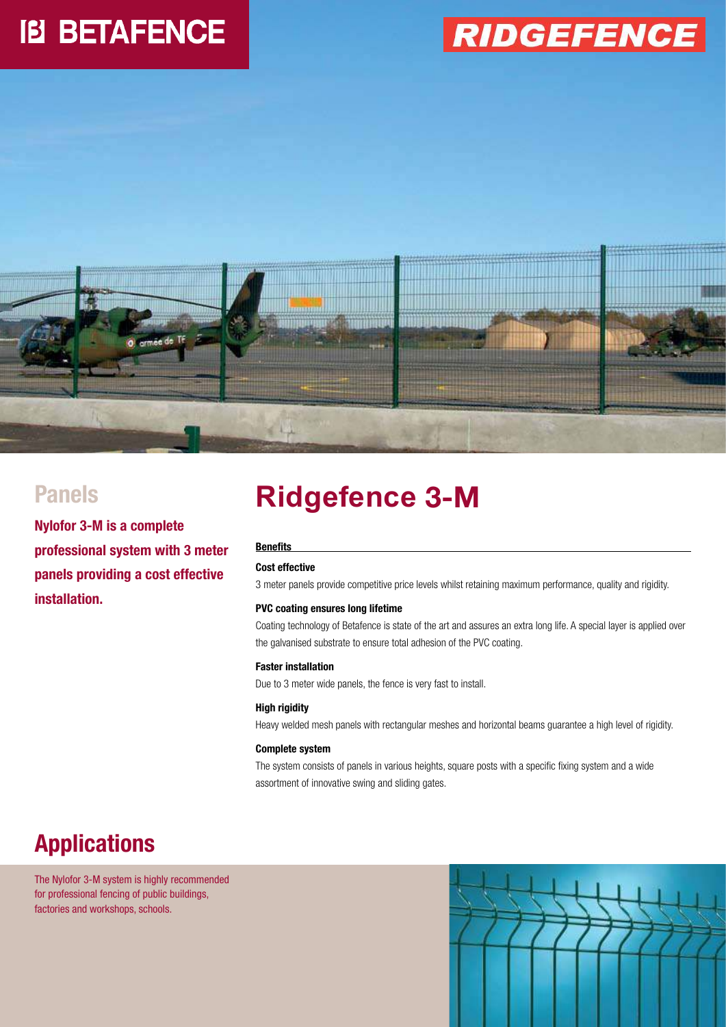# **IB BETAFENCE**

## **RIDGEFENCE**



**Nylofor 3-M is a complete professional system with 3 meter panels providing a cost effective installation.**

### Panels **Ridgefence 3-M**

#### **Benefits**

#### **Cost effective**

3 meter panels provide competitive price levels whilst retaining maximum performance, quality and rigidity.

#### **PVC coating ensures long lifetime**

Coating technology of Betafence is state of the art and assures an extra long life. A special layer is applied over the galvanised substrate to ensure total adhesion of the PVC coating.

#### **Faster installation**

Due to 3 meter wide panels, the fence is very fast to install.

#### **High rigidity**

Heavy welded mesh panels with rectangular meshes and horizontal beams guarantee a high level of rigidity.

#### **Complete system**

The system consists of panels in various heights, square posts with a specific fixing system and a wide assortment of innovative swing and sliding gates.

### **Applications**

The Nylofor 3-M system is highly recommended for professional fencing of public buildings, factories and workshops, schools.